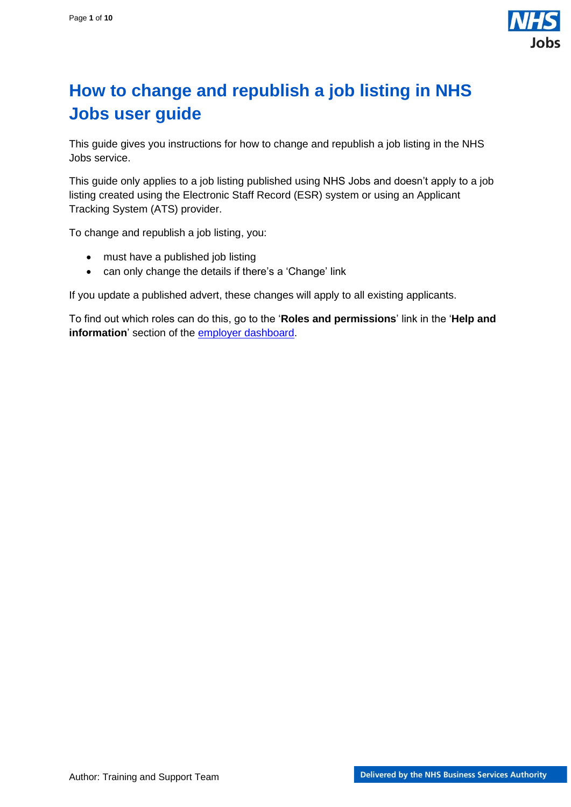

## <span id="page-0-0"></span>**How to change and republish a job listing in NHS Jobs user guide**

This guide gives you instructions for how to change and republish a job listing in the NHS Jobs service.

This guide only applies to a job listing published using NHS Jobs and doesn't apply to a job listing created using the Electronic Staff Record (ESR) system or using an Applicant Tracking System (ATS) provider.

To change and republish a job listing, you:

- must have a published job listing
- can only change the details if there's a 'Change' link

If you update a published advert, these changes will apply to all existing applicants.

To find out which roles can do this, go to the '**Roles and permissions**' link in the '**Help and information**' section of the [employer dashboard.](https://beta.jobs.nhs.uk/home)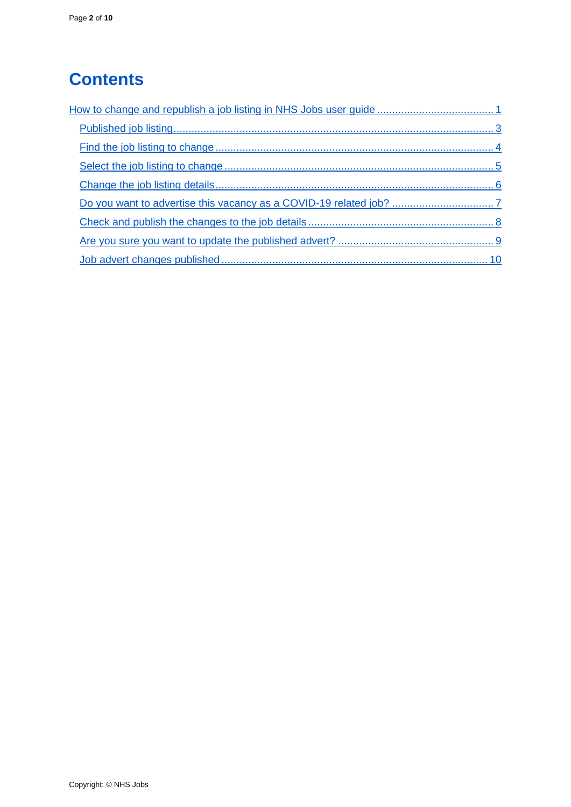# **Contents**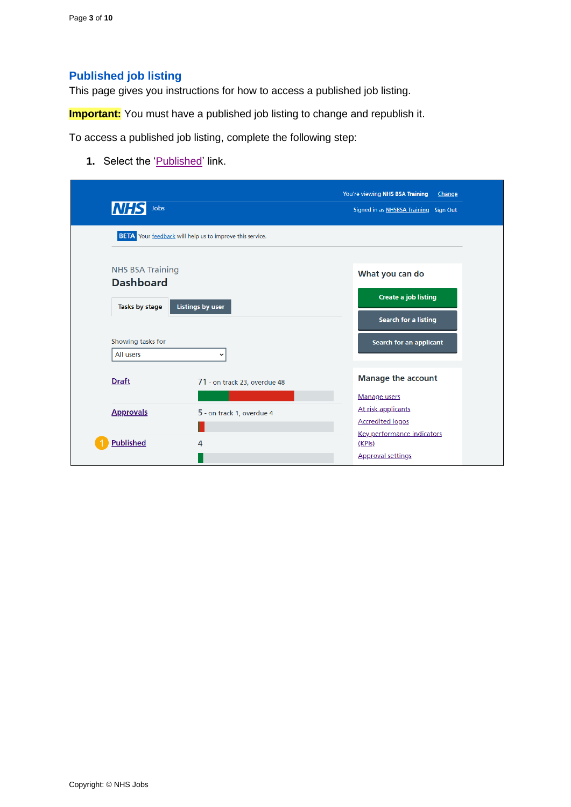### <span id="page-2-0"></span>**Published job listing**

This page gives you instructions for how to access a published job listing.

**Important:** You must have a published job listing to change and republish it.

To access a published job listing, complete the following step:

**1.** Select the '*Published'* link.

| <b>NHS</b><br>Jobs                          |                                                                 | You're viewing NHS BSA Training<br>Change<br>Signed in as NHSBSA Training Sign Out |
|---------------------------------------------|-----------------------------------------------------------------|------------------------------------------------------------------------------------|
|                                             | <b>BETA</b> Your feedback will help us to improve this service. |                                                                                    |
| <b>NHS BSA Training</b><br><b>Dashboard</b> |                                                                 | What you can do                                                                    |
| <b>Listings by user</b><br>Tasks by stage   |                                                                 | <b>Create a job listing</b><br><b>Search for a listing</b>                         |
| Showing tasks for<br>All users              | $\check{ }$                                                     | <b>Search for an applicant</b>                                                     |
| <b>Draft</b>                                | 71 - on track 23, overdue 48                                    | <b>Manage the account</b>                                                          |
| <b>Approvals</b>                            | 5 - on track 1, overdue 4                                       | <b>Manage users</b><br>At risk applicants                                          |
| <b>Published</b>                            | 4                                                               | <b>Accredited logos</b><br><b>Key performance indicators</b><br>(KPIS)             |
|                                             |                                                                 | <b>Approval settings</b>                                                           |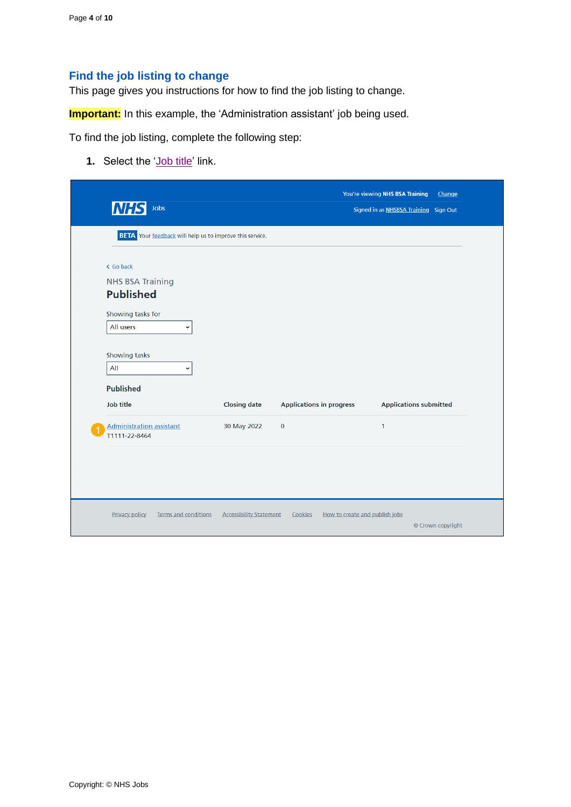### <span id="page-3-0"></span>**Find the job listing to change**

This page gives you instructions for how to find the job listing to change.

**Important:** In this example, the 'Administration assistant' job being used.

To find the job listing, complete the following step:

**1.** Select the ['Job title'](#page-4-0) link.

|                                                                 |                                |                                 | You're viewing NHS BSA Training<br>Change |  |
|-----------------------------------------------------------------|--------------------------------|---------------------------------|-------------------------------------------|--|
| Jobs<br><b>NHS</b>                                              |                                |                                 | Signed in as NHSBSA Training Sign Out     |  |
| <b>BETA</b> Your feedback will help us to improve this service. |                                |                                 |                                           |  |
| < Go back                                                       |                                |                                 |                                           |  |
| <b>NHS BSA Training</b><br><b>Published</b>                     |                                |                                 |                                           |  |
| Showing tasks for<br>All users<br>$\check{ }$                   |                                |                                 |                                           |  |
| Showing tasks<br>All<br>$\check{ }$                             |                                |                                 |                                           |  |
| <b>Published</b>                                                |                                |                                 |                                           |  |
| <b>Job title</b>                                                | <b>Closing date</b>            | <b>Applications in progress</b> | <b>Applications submitted</b>             |  |
| <b>Administration assistant</b><br>T1111-22-8464                | 30 May 2022                    | $\pmb{0}$                       | $\mathbf{1}$                              |  |
|                                                                 |                                |                                 |                                           |  |
|                                                                 |                                |                                 |                                           |  |
| <b>Terms and conditions</b><br><b>Privacy policy</b>            | <b>Accessibility Statement</b> | Cookies                         | How to create and publish jobs            |  |
|                                                                 |                                |                                 | © Crown copyright                         |  |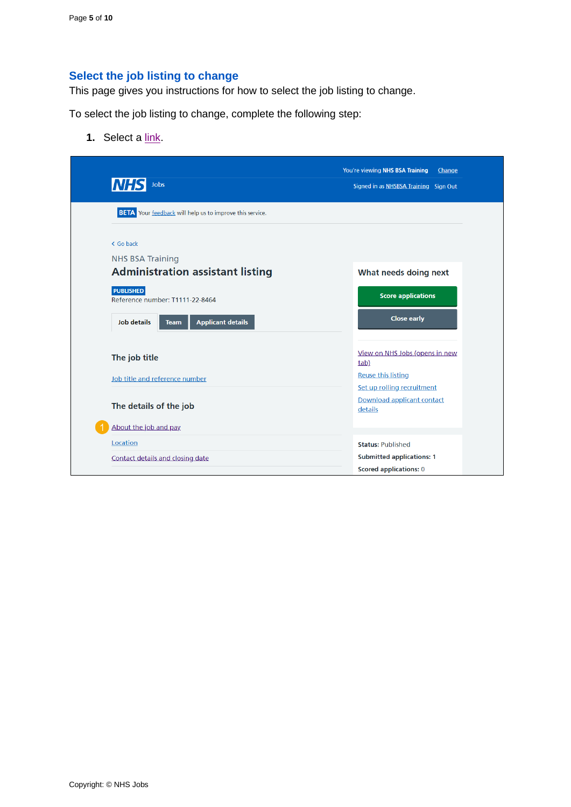## <span id="page-4-0"></span>**Select the job listing to change**

This page gives you instructions for how to select the job listing to change.

To select the job listing to change, complete the following step:

**1.** Select a [link.](#page-5-0)

| <b>NHS</b><br>Jobs                                              | You're viewing NHS BSA Training<br>Change<br>Signed in as NHSBSA Training Sign Out |
|-----------------------------------------------------------------|------------------------------------------------------------------------------------|
| <b>BETA</b> Your feedback will help us to improve this service. |                                                                                    |
| < Go back<br><b>NHS BSA Training</b>                            |                                                                                    |
| <b>Administration assistant listing</b>                         | What needs doing next                                                              |
| <b>PUBLISHED</b><br>Reference number: T1111-22-8464             | <b>Score applications</b>                                                          |
| <b>Applicant details</b><br><b>Job details</b><br><b>Team</b>   | <b>Close early</b>                                                                 |
| The job title                                                   | View on NHS Jobs (opens in new<br>tab)                                             |
| Job title and reference number                                  | <b>Reuse this listing</b>                                                          |
| The details of the job                                          | Set up rolling recruitment<br>Download applicant contact<br>details                |
| About the job and pay                                           |                                                                                    |
| Location                                                        | <b>Status: Published</b>                                                           |
| Contact details and closing date                                | <b>Submitted applications: 1</b><br><b>Scored applications: 0</b>                  |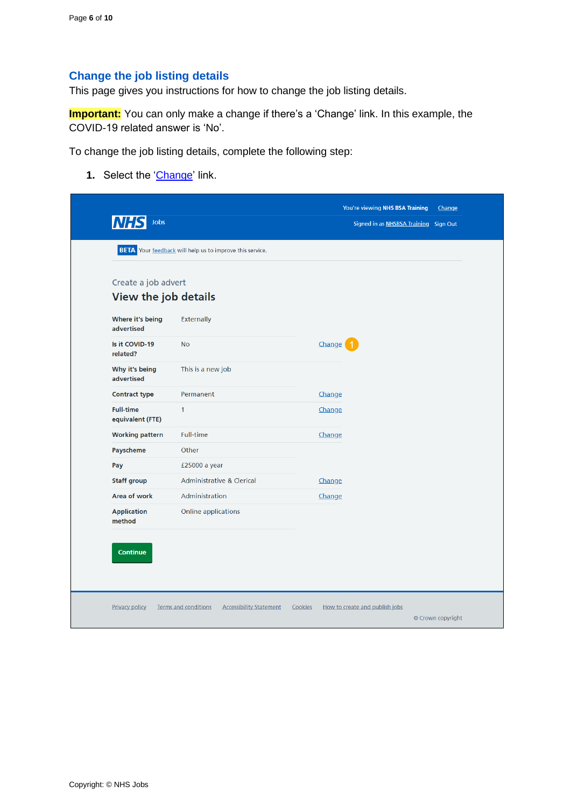### <span id="page-5-0"></span>**Change the job listing details**

This page gives you instructions for how to change the job listing details.

**Important:** You can only make a change if there's a 'Change' link. In this example, the COVID-19 related answer is 'No'.

To change the job listing details, complete the following step:

**1.** Select the ['Change'](#page-6-0) link.

| Jobs<br><b>NHS</b>                   |                                                                 |         | You're viewing NHS BSA Training | Change<br>Signed in as NHSBSA Training Sign Out |
|--------------------------------------|-----------------------------------------------------------------|---------|---------------------------------|-------------------------------------------------|
|                                      | <b>BETA</b> Your feedback will help us to improve this service. |         |                                 |                                                 |
|                                      |                                                                 |         |                                 |                                                 |
| Create a job advert                  | View the job details                                            |         |                                 |                                                 |
|                                      |                                                                 |         |                                 |                                                 |
| Where it's being<br>advertised       | Externally                                                      |         |                                 |                                                 |
| Is it COVID-19<br>related?           | <b>No</b>                                                       |         | Change                          |                                                 |
| Why it's being<br>advertised         | This is a new job                                               |         |                                 |                                                 |
| <b>Contract type</b>                 | Permanent                                                       |         | Change                          |                                                 |
| <b>Full-time</b><br>equivalent (FTE) | 1                                                               |         | Change                          |                                                 |
| <b>Working pattern</b>               | <b>Full-time</b>                                                |         | Change                          |                                                 |
| Payscheme                            | Other                                                           |         |                                 |                                                 |
| Pay                                  | £25000 a year                                                   |         |                                 |                                                 |
| <b>Staff group</b>                   | <b>Administrative &amp; Clerical</b>                            |         | Change                          |                                                 |
| Area of work                         | Administration                                                  |         | Change                          |                                                 |
| <b>Application</b><br>method         | Online applications                                             |         |                                 |                                                 |
|                                      |                                                                 |         |                                 |                                                 |
| Continue                             |                                                                 |         |                                 |                                                 |
|                                      |                                                                 |         |                                 |                                                 |
| <b>Privacy policy</b>                | <b>Accessibility Statement</b><br><b>Terms and conditions</b>   | Cookies | How to create and publish jobs  |                                                 |
|                                      |                                                                 |         |                                 | © Crown copyright                               |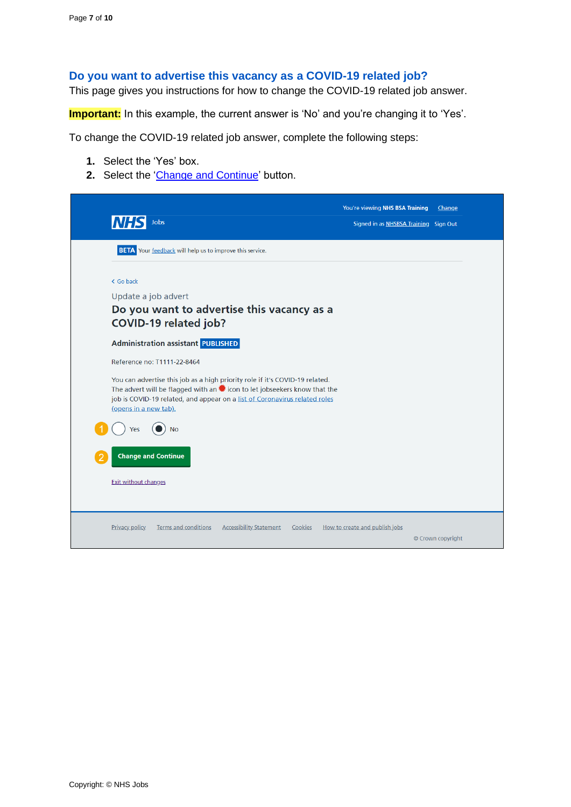#### <span id="page-6-0"></span>**Do you want to advertise this vacancy as a COVID-19 related job?**

This page gives you instructions for how to change the COVID-19 related job answer.

**Important:** In this example, the current answer is 'No' and you're changing it to 'Yes'.

To change the COVID-19 related job answer, complete the following steps:

- **1.** Select the 'Yes' box.
- **2.** Select the 'Change [and Continue'](#page-7-0) button.

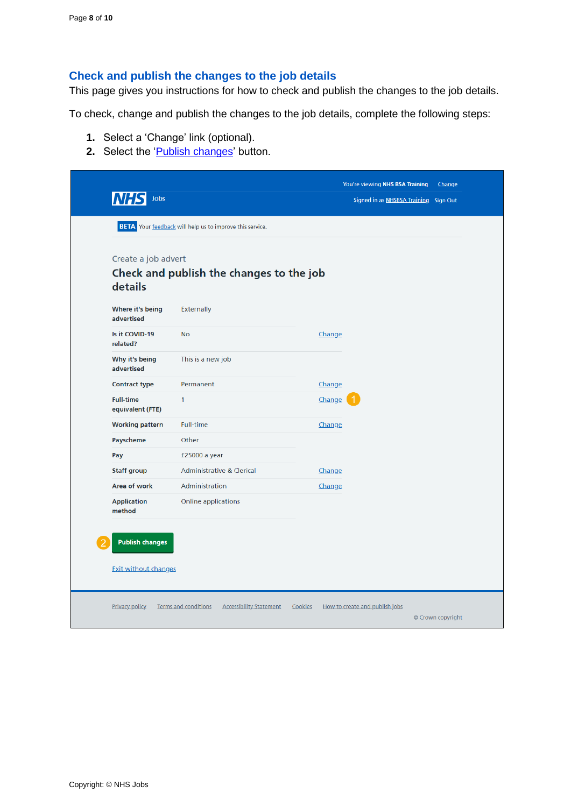## <span id="page-7-0"></span>**Check and publish the changes to the job details**

This page gives you instructions for how to check and publish the changes to the job details.

To check, change and publish the changes to the job details, complete the following steps:

- **1.** Select a 'Change' link (optional).
- **2.** Select the '*Publish changes*' button.

| Jobs                                 |                                                                 |         | You're viewing NHS BSA Training<br>Signed in as NHSBSA Training Sign Out | Change            |
|--------------------------------------|-----------------------------------------------------------------|---------|--------------------------------------------------------------------------|-------------------|
|                                      | <b>BETA</b> Your feedback will help us to improve this service. |         |                                                                          |                   |
| Create a job advert<br>details       | Check and publish the changes to the job                        |         |                                                                          |                   |
| Where it's being<br>advertised       | Externally                                                      |         |                                                                          |                   |
| Is it COVID-19<br>related?           | <b>No</b>                                                       | Change  |                                                                          |                   |
| Why it's being<br>advertised         | This is a new job                                               |         |                                                                          |                   |
| <b>Contract type</b>                 | Permanent                                                       | Change  |                                                                          |                   |
| <b>Full-time</b><br>equivalent (FTE) | $\mathbf{1}$                                                    | Change  |                                                                          |                   |
| <b>Working pattern</b>               | <b>Full-time</b>                                                | Change  |                                                                          |                   |
| Payscheme                            | Other                                                           |         |                                                                          |                   |
| Pay                                  | £25000 a year                                                   |         |                                                                          |                   |
| <b>Staff group</b>                   | <b>Administrative &amp; Clerical</b>                            | Change  |                                                                          |                   |
| Area of work                         | Administration                                                  | Change  |                                                                          |                   |
| <b>Application</b><br>method         | Online applications                                             |         |                                                                          |                   |
| <b>Publish changes</b>               |                                                                 |         |                                                                          |                   |
| <b>Exit without changes</b>          |                                                                 |         |                                                                          |                   |
| <b>Privacy policy</b>                | <b>Terms and conditions</b><br><b>Accessibility Statement</b>   | Cookies | How to create and publish jobs                                           | © Crown copyright |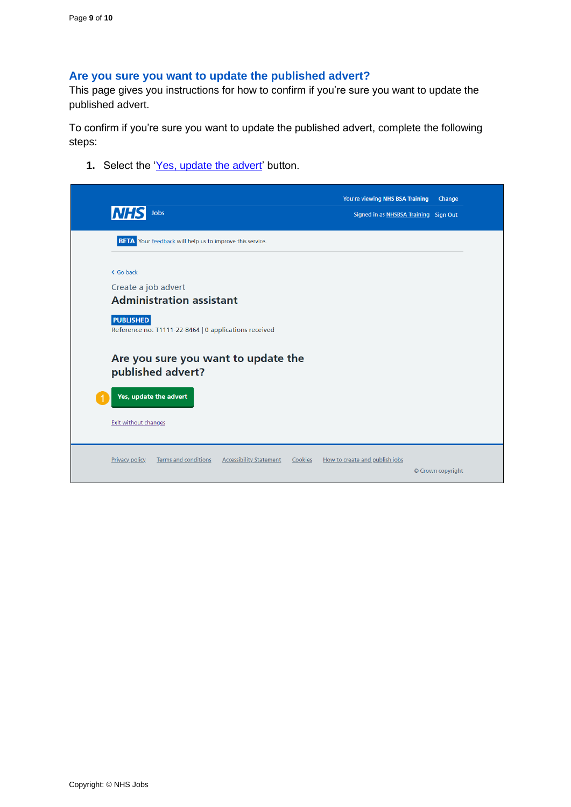#### <span id="page-8-0"></span>**Are you sure you want to update the published advert?**

This page gives you instructions for how to confirm if you're sure you want to update the published advert.

To confirm if you're sure you want to update the published advert, complete the following steps:

**1.** Select the ['Yes, update the advert'](#page-9-0) button.